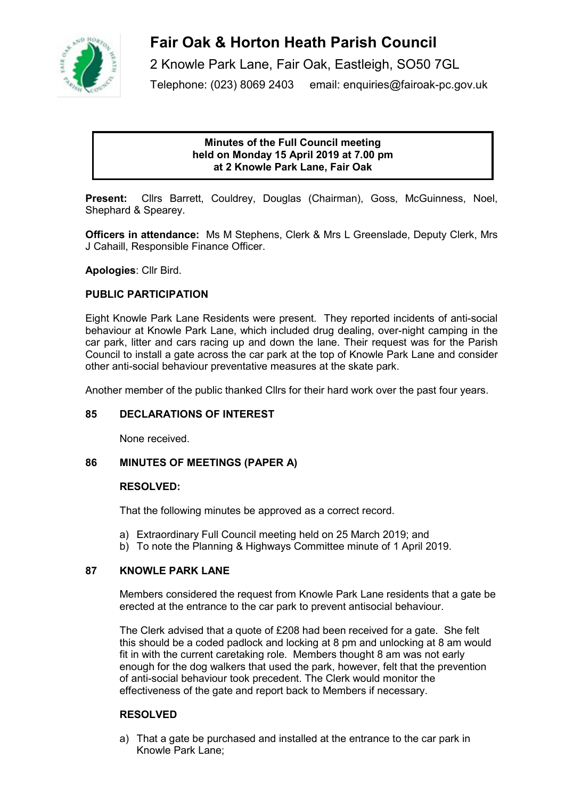

# **Fair Oak & Horton Heath Parish Council**

2 Knowle Park Lane, Fair Oak, Eastleigh, SO50 7GL Telephone: (023) 8069 2403 email: enquiries@fairoak-pc.gov.uk

# **Minutes of the Full Council meeting held on Monday 15 April 2019 at 7.00 pm at 2 Knowle Park Lane, Fair Oak**

**Present:** Cllrs Barrett, Couldrey, Douglas (Chairman), Goss, McGuinness, Noel, Shephard & Spearey.

**Officers in attendance:** Ms M Stephens, Clerk & Mrs L Greenslade, Deputy Clerk, Mrs J Cahaill, Responsible Finance Officer.

**Apologies**: Cllr Bird.

# **PUBLIC PARTICIPATION**

Eight Knowle Park Lane Residents were present. They reported incidents of anti-social behaviour at Knowle Park Lane, which included drug dealing, over-night camping in the car park, litter and cars racing up and down the lane. Their request was for the Parish Council to install a gate across the car park at the top of Knowle Park Lane and consider other anti-social behaviour preventative measures at the skate park.

Another member of the public thanked Cllrs for their hard work over the past four years.

# **85 DECLARATIONS OF INTEREST**

None received.

# **86 MINUTES OF MEETINGS (PAPER A)**

#### **RESOLVED:**

That the following minutes be approved as a correct record.

- a) Extraordinary Full Council meeting held on 25 March 2019; and
- b) To note the Planning & Highways Committee minute of 1 April 2019.

# **87 KNOWLE PARK LANE**

Members considered the request from Knowle Park Lane residents that a gate be erected at the entrance to the car park to prevent antisocial behaviour.

The Clerk advised that a quote of £208 had been received for a gate. She felt this should be a coded padlock and locking at 8 pm and unlocking at 8 am would fit in with the current caretaking role. Members thought 8 am was not early enough for the dog walkers that used the park, however, felt that the prevention of anti-social behaviour took precedent. The Clerk would monitor the effectiveness of the gate and report back to Members if necessary.

# **RESOLVED**

a) That a gate be purchased and installed at the entrance to the car park in Knowle Park Lane;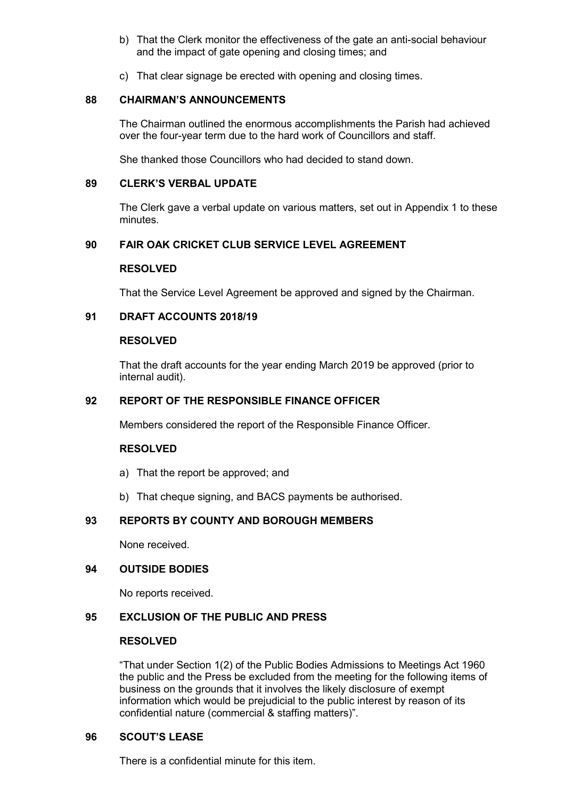- b) That the Clerk monitor the effectiveness of the gate an anti-social behaviour and the impact of gate opening and closing times; and
- c) That clear signage be erected with opening and closing times.

## **88 CHAIRMAN'S ANNOUNCEMENTS**

The Chairman outlined the enormous accomplishments the Parish had achieved over the four-year term due to the hard work of Councillors and staff.

She thanked those Councillors who had decided to stand down.

## **89 CLERK'S VERBAL UPDATE**

The Clerk gave a verbal update on various matters, set out in Appendix 1 to these minutes.

# **90 FAIR OAK CRICKET CLUB SERVICE LEVEL AGREEMENT**

## **RESOLVED**

That the Service Level Agreement be approved and signed by the Chairman.

## **91 DRAFT ACCOUNTS 2018/19**

#### **RESOLVED**

That the draft accounts for the year ending March 2019 be approved (prior to internal audit).

#### **92 REPORT OF THE RESPONSIBLE FINANCE OFFICER**

Members considered the report of the Responsible Finance Officer.

#### **RESOLVED**

- a) That the report be approved; and
- b) That cheque signing, and BACS payments be authorised.

# **93 REPORTS BY COUNTY AND BOROUGH MEMBERS**

None received.

## **94 OUTSIDE BODIES**

No reports received.

#### **95 EXCLUSION OF THE PUBLIC AND PRESS**

#### **RESOLVED**

"That under Section 1(2) of the Public Bodies Admissions to Meetings Act 1960 the public and the Press be excluded from the meeting for the following items of business on the grounds that it involves the likely disclosure of exempt information which would be prejudicial to the public interest by reason of its confidential nature (commercial & staffing matters)".

#### **96 SCOUT'S LEASE**

There is a confidential minute for this item.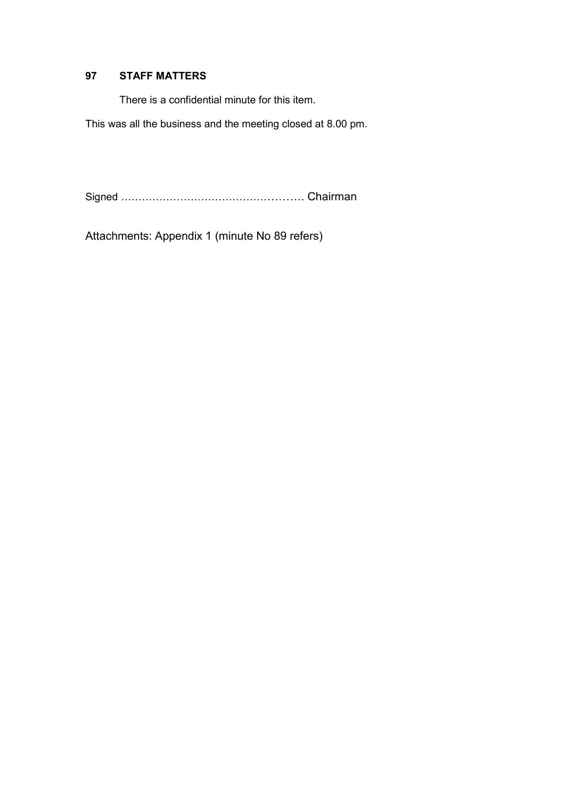# **97 STAFF MATTERS**

There is a confidential minute for this item.

This was all the business and the meeting closed at 8.00 pm.

Signed ……………………………………………. Chairman

Attachments: Appendix 1 (minute No 89 refers)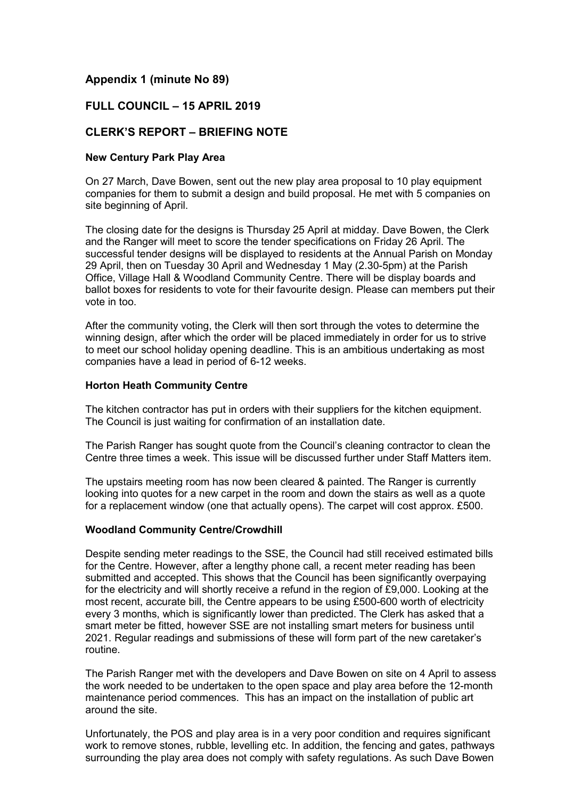# **Appendix 1 (minute No 89)**

# **FULL COUNCIL – 15 APRIL 2019**

# **CLERK'S REPORT – BRIEFING NOTE**

#### **New Century Park Play Area**

On 27 March, Dave Bowen, sent out the new play area proposal to 10 play equipment companies for them to submit a design and build proposal. He met with 5 companies on site beginning of April.

The closing date for the designs is Thursday 25 April at midday. Dave Bowen, the Clerk and the Ranger will meet to score the tender specifications on Friday 26 April. The successful tender designs will be displayed to residents at the Annual Parish on Monday 29 April, then on Tuesday 30 April and Wednesday 1 May (2.30-5pm) at the Parish Office, Village Hall & Woodland Community Centre. There will be display boards and ballot boxes for residents to vote for their favourite design. Please can members put their vote in too.

After the community voting, the Clerk will then sort through the votes to determine the winning design, after which the order will be placed immediately in order for us to strive to meet our school holiday opening deadline. This is an ambitious undertaking as most companies have a lead in period of 6-12 weeks.

## **Horton Heath Community Centre**

The kitchen contractor has put in orders with their suppliers for the kitchen equipment. The Council is just waiting for confirmation of an installation date.

The Parish Ranger has sought quote from the Council's cleaning contractor to clean the Centre three times a week. This issue will be discussed further under Staff Matters item.

The upstairs meeting room has now been cleared & painted. The Ranger is currently looking into quotes for a new carpet in the room and down the stairs as well as a quote for a replacement window (one that actually opens). The carpet will cost approx. £500.

#### **Woodland Community Centre/Crowdhill**

Despite sending meter readings to the SSE, the Council had still received estimated bills for the Centre. However, after a lengthy phone call, a recent meter reading has been submitted and accepted. This shows that the Council has been significantly overpaying for the electricity and will shortly receive a refund in the region of £9,000. Looking at the most recent, accurate bill, the Centre appears to be using £500-600 worth of electricity every 3 months, which is significantly lower than predicted. The Clerk has asked that a smart meter be fitted, however SSE are not installing smart meters for business until 2021. Regular readings and submissions of these will form part of the new caretaker's routine.

The Parish Ranger met with the developers and Dave Bowen on site on 4 April to assess the work needed to be undertaken to the open space and play area before the 12-month maintenance period commences. This has an impact on the installation of public art around the site.

Unfortunately, the POS and play area is in a very poor condition and requires significant work to remove stones, rubble, levelling etc. In addition, the fencing and gates, pathways surrounding the play area does not comply with safety regulations. As such Dave Bowen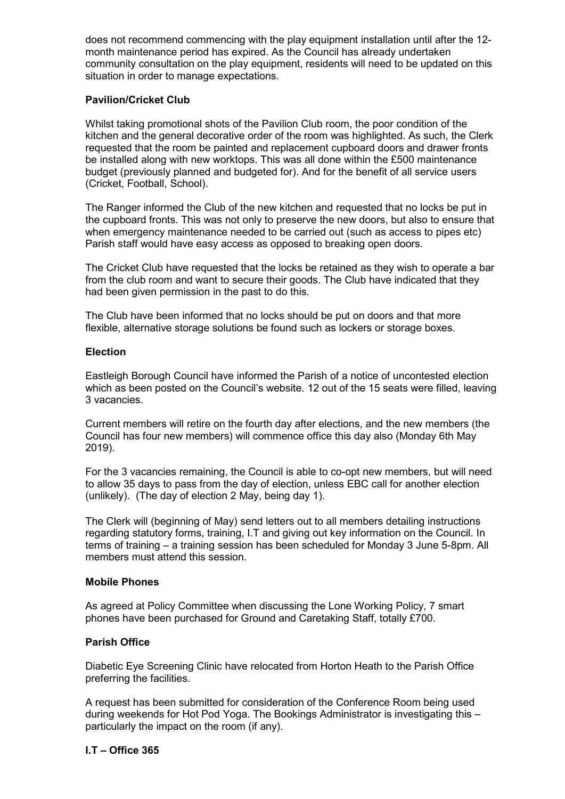does not recommend commencing with the play equipment installation until after the 12 month maintenance period has expired. As the Council has already undertaken community consultation on the play equipment, residents will need to be updated on this situation in order to manage expectations.

# **Pavilion/Cricket Club**

Whilst taking promotional shots of the Pavilion Club room, the poor condition of the kitchen and the general decorative order of the room was highlighted. As such, the Clerk requested that the room be painted and replacement cupboard doors and drawer fronts be installed along with new worktops. This was all done within the £500 maintenance budget (previously planned and budgeted for). And for the benefit of all service users (Cricket, Football, School).

The Ranger informed the Club of the new kitchen and requested that no locks be put in the cupboard fronts. This was not only to preserve the new doors, but also to ensure that when emergency maintenance needed to be carried out (such as access to pipes etc) Parish staff would have easy access as opposed to breaking open doors.

The Cricket Club have requested that the locks be retained as they wish to operate a bar from the club room and want to secure their goods. The Club have indicated that they had been given permission in the past to do this.

The Club have been informed that no locks should be put on doors and that more flexible, alternative storage solutions be found such as lockers or storage boxes.

# **Election**

Eastleigh Borough Council have informed the Parish of a notice of uncontested election which as been posted on the Council's website. 12 out of the 15 seats were filled, leaving 3 vacancies.

Current members will retire on the fourth day after elections, and the new members (the Council has four new members) will commence office this day also (Monday 6th May 2019).

For the 3 vacancies remaining, the Council is able to co-opt new members, but will need to allow 35 days to pass from the day of election, unless EBC call for another election (unlikely). (The day of election 2 May, being day 1).

The Clerk will (beginning of May) send letters out to all members detailing instructions regarding statutory forms, training, I.T and giving out key information on the Council. In terms of training – a training session has been scheduled for Monday 3 June 5-8pm. All members must attend this session.

# **Mobile Phones**

As agreed at Policy Committee when discussing the Lone Working Policy, 7 smart phones have been purchased for Ground and Caretaking Staff, totally £700.

# **Parish Office**

Diabetic Eye Screening Clinic have relocated from Horton Heath to the Parish Office preferring the facilities.

A request has been submitted for consideration of the Conference Room being used during weekends for Hot Pod Yoga. The Bookings Administrator is investigating this – particularly the impact on the room (if any).

# **I.T – Office 365**